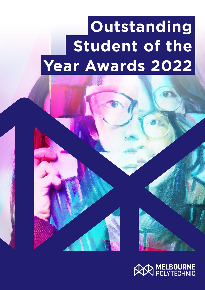# **Outstanding Student of the Year Awards 2022**

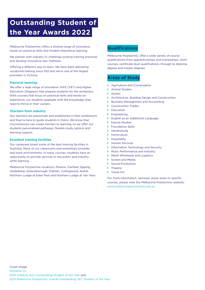# **Outstanding Student of the Year Awards 2022**

Melbourne Polytechnic offers a diverse range of innovative, hands-on practical skills and modern theoretical learning.

We partner with industry to challenge existing training practices and develop innovative new methods.

Offering a different way to learn. We have been delivering vocational training since 1912 and we're one of the largest providers in Victoria.

#### **Practical learning**

We offer a wide range of innovative TAFE (VET) and Higher Education (Degrees) that prepare students for the workplace. With courses that focus on practical skills and hands-on experience, our students graduate with the knowledge they need to thrive in their careers.

#### **Teachers from industry**

Our teachers are passionate and established in their professions and they're here to guide students in theirs. We know that circumstances can create barriers to learning, so we offer our students personalised pathways, flexible study options and learning support.

#### **Excellent training facilities**

Our campuses boast some of the best training facilities in Australia. Many of our classrooms and workshops simulate real-work environments. In many courses, students have an opportunity to provide services to the public and industry while learning.

Melbourne Polytechnic locations: Preston, Fairfield, Epping, Heidelberg, Greensborough, Prahran, Collingwood, Ararat, Northern Lodge at Eden Park and Northern Lodge at Yan Yean.

### **Qualifications**

Melbourne Polytechnic offer a wide variety of course qualifications from apprenticeships and traineeships, short courses, certificate level qualifications, through to diploma, degree and master degrees.

#### **Areas of Study**

- ▶ Agriculture and Conservation
- ▶ Animal Studies
- $\blacktriangleright$  Auslan
- ▶ Architecture, Building Design and Construction
- **Business Management and Accounting**
- ▶ Construction Trades
- **Education**
- $\blacktriangleright$  Engineering
- **English as an Additional Language**
- ▶ Equine Studies
- **Foundation Skills**
- $\blacktriangleright$  Hairdressing
- $\blacktriangleright$  Horticulture
- **A** Hospitality
- **EXECUTE:** Human Services
- **Information Technology and Security**
- Music Performance and Industry
- ▶ Retail Wholesale and Logistics
- Screen and Media
- ▶ Sound Production
- $\blacktriangleright$  Theatre
- $\blacktriangleright$  Visual Art

For more information, narrower study areas or specific courses, please view the Melbourne Polytechnic website: [www.melbournepolytechnic.edu.au](http://www.melbournepolytechnic.edu.au)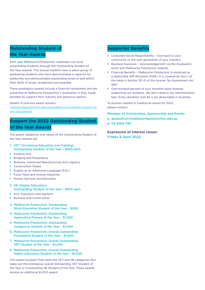## **Outstanding Student of the Year Awards**

Each year Melbourne Polytechnic celebrates our most outstanding students through the Outstanding Student of the Year Awards. This annual tradition sees a select group of graduating students who have demonstrated a capacity for leadership and demonstrated outstanding levels of skill within their fields of study, recognised and awarded.

These prestigious awards include a financial component and are presented at Melbourne Polytechnic's Graduation in May, made possible by support from industry and generous donors.

Details of previous award winners:

[melbournepolytechnic.edu.au/students/outstanding-student-of](https://www.melbournepolytechnic.edu.au/students/outstanding-student-of-the-year-awards/)[the-year-awards](https://www.melbournepolytechnic.edu.au/students/outstanding-student-of-the-year-awards/)

# **Support the 2022 Outstanding Student of the Year Awards**

The award categories and values of the Outstanding Student of the Year Awards are:

- 1. VET (Vocational Education and Training) Outstanding Student of the Year – \$500 each
- ▶ Creative Arts
- **Bridging and Preparatory**
- ` Business, Advanced Manufacturing and Logistics
- ` Construction Trades
- ` English as an Additional Language (EAL)
- ▶ Food, Fibre and Animal Industries
- ` Human Services and Education
- 2. HE (Higher Education) Outstanding Student of the Year – \$500 each
- Arts, Education and Agritech
- ▶ Business and Construction
- 3. Melbourne Polytechnic Outstanding Work Education Student of the Year – \$500
- 4. Melbourne Polytechnic Outstanding Apprentice/Trainee of the Year – \$1,000
- 5. Melbourne Polytechnic Outstanding Indigenous Student of the Year – \$1,000
- 6. Melbourne Polytechnic Overall Outstanding Foundation Student of the Year – \$1,000
- 7. Melbourne Polytechnic Overall Outstanding VET Student of the Year – \$1,000
- 8. Melbourne Polytechnic Overall Outstanding Higher Education Student of the Year – \$1,000

One award recipient from both the VET and HE categories also takes out the prestigious overall Outstanding VET Student of the Year or Outstanding HE Student of the Year. These awards receive an additional \$1,000 award.

#### **Supporter Benefits**

- $\triangleright$  Corporate Social Responsibility Give back to your community or the next generation of your industry.
- ▶ Business Exposure Acknowledgement via the Graduation event and Melbourne Polytechnic website.
- ` Financial Benefits Melbourne Polytechnic is endorsed as a *Deductible Gift Recipient* (DGR). It is covered by Item 1 of the table in Section 30-15 of the *Income Tax Assessment Act 1997*.
- $\triangleright$  One hundred percent of your donation goes towards supporting our students. We don't deduct any administrative fees. Every donation over \$2 is tax deductable in Australia.

To express interest in funding an award for 2022, please contact:

Manager of Scholarships, Sponsorship and Events

e: graduation@melbournepolytechnic.edu.au p: 03 9269 1187

Expression of interest closes: Friday 8 April 2022